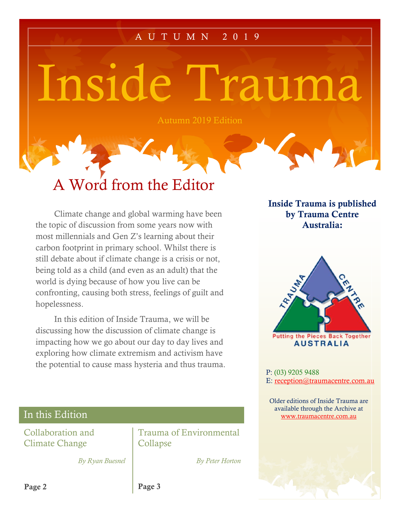### A U T U M N 2 0 1 9

Inside Trauma

Autumn 2019 Edition

# A Word from the Editor

Climate change and global warming have been the topic of discussion from some years now with most millennials and Gen Z's learning about their carbon footprint in primary school. Whilst there is still debate about if climate change is a crisis or not, being told as a child (and even as an adult) that the world is dying because of how you live can be confronting, causing both stress, feelings of guilt and hopelessness.

In this edition of Inside Trauma, we will be discussing how the discussion of climate change is impacting how we go about our day to day lives and exploring how climate extremism and activism have the potential to cause mass hysteria and thus trauma. Inside Trauma is published by Trauma Centre Australia:



P: (03) 9205 9488 E: [reception@traumacentre.com.au](mailto:reception@traumacentre.com.au)

 Older editions of Inside Trauma are available through the Archive at [www.traumacentre.com.au](http://www.traumacentre.com.au/)

## In this Edition

Collaboration and Climate Change

Trauma of Environmental Collapse

*By Ryan Buesnel*

*By Peter Horton*

Page 3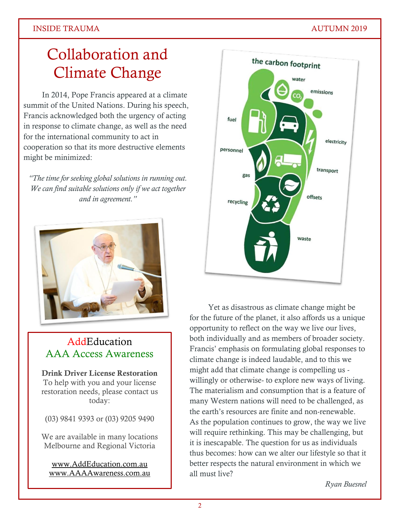### INSIDE TRAUMA AUTUMN 2019

## Collaboration and Climate Change

In 2014, Pope Francis appeared at a climate summit of the United Nations. During his speech, Francis acknowledged both the urgency of acting in response to climate change, as well as the need for the international community to act in cooperation so that its more destructive elements might be minimized:

*"The time for seeking global solutions in running out. We can find suitable solutions only if we act together and in agreement."*



## **AddEducation** AAA Access Awareness

Drink Driver License Restoration To help with you and your license restoration needs, please contact us today:

(03) 9841 9393 or (03) 9205 9490

We are available in many locations Melbourne and Regional Victoria

[www.AddEducation.com.au](http://www.addeducation.com.au/) [www.AAAAwareness.com.au](http://www.aaaawareness.com.au/)



Yet as disastrous as climate change might be for the future of the planet, it also affords us a unique opportunity to reflect on the way we live our lives, both individually and as members of broader society. Francis' emphasis on formulating global responses to climate change is indeed laudable, and to this we might add that climate change is compelling us willingly or otherwise- to explore new ways of living. The materialism and consumption that is a feature of many Western nations will need to be challenged, as the earth's resources are finite and non-renewable. As the population continues to grow, the way we live will require rethinking. This may be challenging, but it is inescapable. The question for us as individuals thus becomes: how can we alter our lifestyle so that it better respects the natural environment in which we all must live?

*Ryan Buesnel*